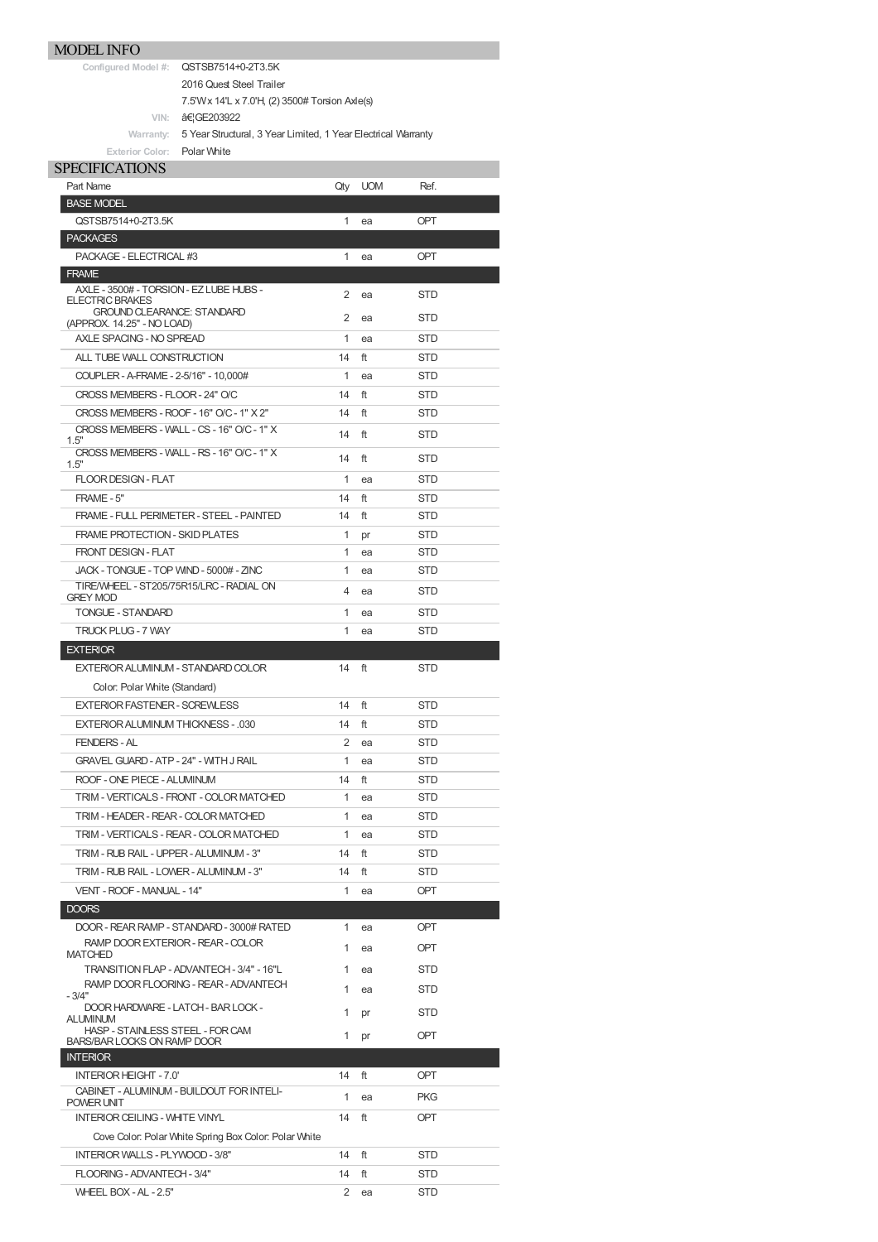**Configured Model #:** QSTSB7514+0-2T3.5K

2016 Quest Steel Trailer

- 7.5'Wx 14'L x 7.0'H, (2) 3500# Torsion Axle(s)
- **VIN: 倦GE203922**

Warranty: 5 Year Structural, 3 Year Limited, 1 Year Electrical Warranty **Exterior Color:** Polar White

|                  | $L$ ALCHUR GUIUL IL |  |
|------------------|---------------------|--|
| CDECIEIC ATIONIC |                     |  |

| <b>SPECIFICATIONS</b>                                                               |     |            |            |
|-------------------------------------------------------------------------------------|-----|------------|------------|
| Part Name                                                                           | Qty | <b>UOM</b> | Ref.       |
| <b>BASE MODEL</b>                                                                   |     |            |            |
| QSTSB7514+0-2T3.5K                                                                  | 1   | ea         | OPT        |
| <b>PACKAGES</b>                                                                     |     |            |            |
| PACKAGE - ELECTRICAL #3                                                             | 1   | ea         | OPT        |
| <b>FRAME</b><br>AXLE - 3500# - TORSION - EZ LUBE HUBS -                             |     |            |            |
| <b>ELECTRIC BRAKES</b>                                                              | 2   | ea         | <b>STD</b> |
| <b>GROUND CLEARANCE: STANDARD</b><br>(APPROX. 14.25" - NO LOAD)                     | 2   | ea         | <b>STD</b> |
| AXLE SPACING - NO SPREAD                                                            | 1   | ea         | <b>STD</b> |
| ALL TUBE WALL CONSTRUCTION                                                          | 14  | ft         | STD        |
| COUPLER - A-FRAME - 2-5/16" - 10,000#                                               | 1   | ea         | <b>STD</b> |
| CROSS MEMBERS - FLOOR - 24" O/C                                                     | 14  | ft         | <b>STD</b> |
| CROSS MEMBERS - ROOF - 16" O/C - 1" X 2"                                            | 14  | ft         | <b>STD</b> |
| CROSS MEMBERS - WALL - CS - 16" O/C - 1" X                                          | 14  | ft         | <b>STD</b> |
| 1.5"<br>CROSS MEMBERS - WALL - RS - 16" O/C - 1" X                                  |     |            |            |
| 1.5"                                                                                | 14  | ft         | <b>STD</b> |
| FLOOR DESIGN - FLAT                                                                 | 1   | ea         | <b>STD</b> |
| FRAME - 5"                                                                          | 14  | ft         | STD        |
| FRAME - FULL PERIMETER - STEEL - PAINTED                                            | 14  | ft         | STD        |
| FRAME PROTECTION - SKID PLATES                                                      | 1   | pr         | STD        |
| <b>FRONT DESIGN - FLAT</b>                                                          | 1   | ea         | STD        |
| JACK - TONGUE - TOP WIND - 5000# - ZINC<br>TIRE/WHEEL - ST205/75R15/LRC - RADIAL ON | 1   | ea         | <b>STD</b> |
| <b>GREY MOD</b>                                                                     | 4   | ea         | <b>STD</b> |
| <b>TONGUE - STANDARD</b>                                                            | 1   | ea         | <b>STD</b> |
| <b>TRUCK PLUG - 7 WAY</b>                                                           | 1   | ea         | STD        |
| <b>EXTERIOR</b>                                                                     |     |            |            |
| EXTERIOR ALUMINUM - STANDARD COLOR                                                  | 14  | ft         | <b>STD</b> |
| Color: Polar White (Standard)                                                       |     |            |            |
| <b>EXTERIOR FASTENER - SCREWLESS</b>                                                | 14  | ft         | <b>STD</b> |
| EXTERIOR ALUMINUM THICKNESS - .030                                                  | 14  | ft         | <b>STD</b> |
| <b>FENDERS-AL</b>                                                                   | 2   | ea         | STD        |
| <b>GRAVEL GUARD - ATP - 24" - WITH J RAIL</b>                                       | 1   | ea         | STD        |
| ROOF - ONE PIECE - ALUMINUM                                                         | 14  | ft         | STD        |
| TRIM - VERTICALS - FRONT - COLOR MATCHED                                            | 1   | ea         | STD        |
| TRIM - HEADER - REAR - COLOR MATCHED                                                | 1   | ea         | STD        |
| TRIM - VERTICALS - REAR - COLOR MATCHED                                             | 1   | ea         | STD        |
| TRIM - RUB RAIL - UPPER - ALUMINUM - 3"                                             | 14  | ft         | STD        |
| TRIM - RUB RAIL - LOWER - ALUMINUM - 3"                                             | 14  | ft         | STD        |
| VENT - ROOF - MANUAL - 14"                                                          | 1   | ea         | OPT        |
| <b>DOORS</b>                                                                        |     |            |            |
| DOOR - REAR RAMP - STANDARD - 3000# RATED                                           | 1   | ea         | <b>OPT</b> |
| RAMP DOOR EXTERIOR - REAR - COLOR<br><b>MATCHED</b>                                 | 1   | ea         | OPT        |
| TRANSITION FLAP - ADVANTECH - 3/4" - 16"L                                           | 1   | ea         | STD        |
| RAMP DOOR FLOORING - REAR - ADVANTECH                                               | 1   | ea         | STD        |
| $-3/4"$<br>DOOR HARDWARE - LATCH - BAR LOCK -                                       |     |            |            |
| <b>ALUMINUM</b>                                                                     | 1   | pr         | STD        |
| HASP - STAINLESS STEEL - FOR CAM<br><b>BARS/BAR LOCKS ON RAMP DOOR</b>              | 1   | pr         | <b>OPT</b> |
| <b>INTERIOR</b>                                                                     |     |            |            |
| <b>INTERIOR HEIGHT - 7.0'</b>                                                       | 14  | ft         | <b>OPT</b> |
| CABINET - ALUMINUM - BUILDOUT FOR INTELI-<br>POWER UNIT                             | 1   | ea         | <b>PKG</b> |
| <b>INTERIOR CEILING - WHITE VINYL</b>                                               | 14  | ft         | OPT        |
| Cove Color: Polar White Spring Box Color: Polar White                               |     |            |            |
| INTERIOR WALLS - PLYWOOD - 3/8"                                                     | 14  | ft         | STD        |
| FLOORING - ADVANTECH - 3/4"                                                         | 14  | ft         | STD        |
| WHEEL BOX - AL - 2.5"                                                               | 2   | ea         | STD        |
|                                                                                     |     |            |            |